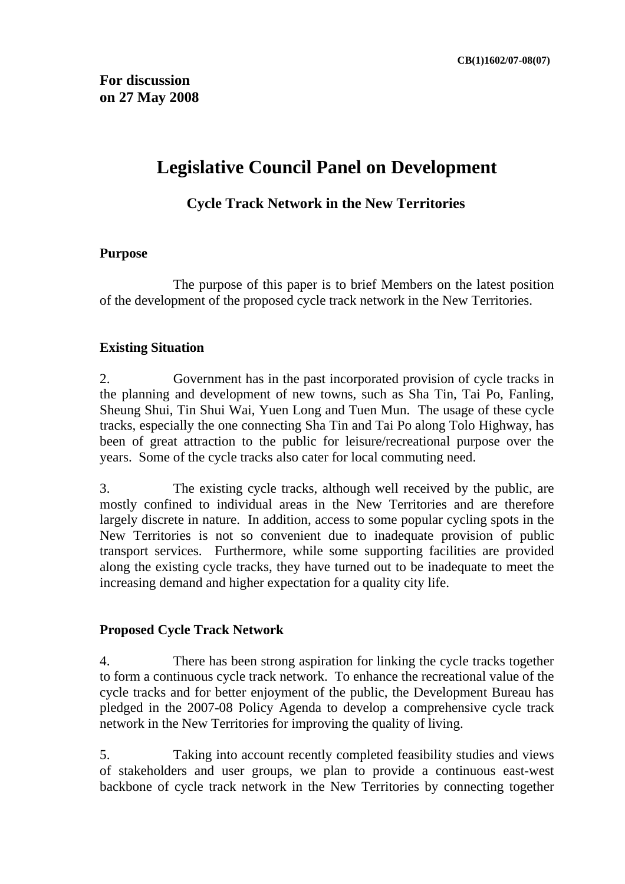## **Legislative Council Panel on Development**

## **Cycle Track Network in the New Territories**

#### **Purpose**

 The purpose of this paper is to brief Members on the latest position of the development of the proposed cycle track network in the New Territories.

#### **Existing Situation**

2. Government has in the past incorporated provision of cycle tracks in the planning and development of new towns, such as Sha Tin, Tai Po, Fanling, Sheung Shui, Tin Shui Wai, Yuen Long and Tuen Mun. The usage of these cycle tracks, especially the one connecting Sha Tin and Tai Po along Tolo Highway, has been of great attraction to the public for leisure/recreational purpose over the years. Some of the cycle tracks also cater for local commuting need.

3. The existing cycle tracks, although well received by the public, are mostly confined to individual areas in the New Territories and are therefore largely discrete in nature. In addition, access to some popular cycling spots in the New Territories is not so convenient due to inadequate provision of public transport services. Furthermore, while some supporting facilities are provided along the existing cycle tracks, they have turned out to be inadequate to meet the increasing demand and higher expectation for a quality city life.

#### **Proposed Cycle Track Network**

4. There has been strong aspiration for linking the cycle tracks together to form a continuous cycle track network. To enhance the recreational value of the cycle tracks and for better enjoyment of the public, the Development Bureau has pledged in the 2007-08 Policy Agenda to develop a comprehensive cycle track network in the New Territories for improving the quality of living.

5. Taking into account recently completed feasibility studies and views of stakeholders and user groups, we plan to provide a continuous east-west backbone of cycle track network in the New Territories by connecting together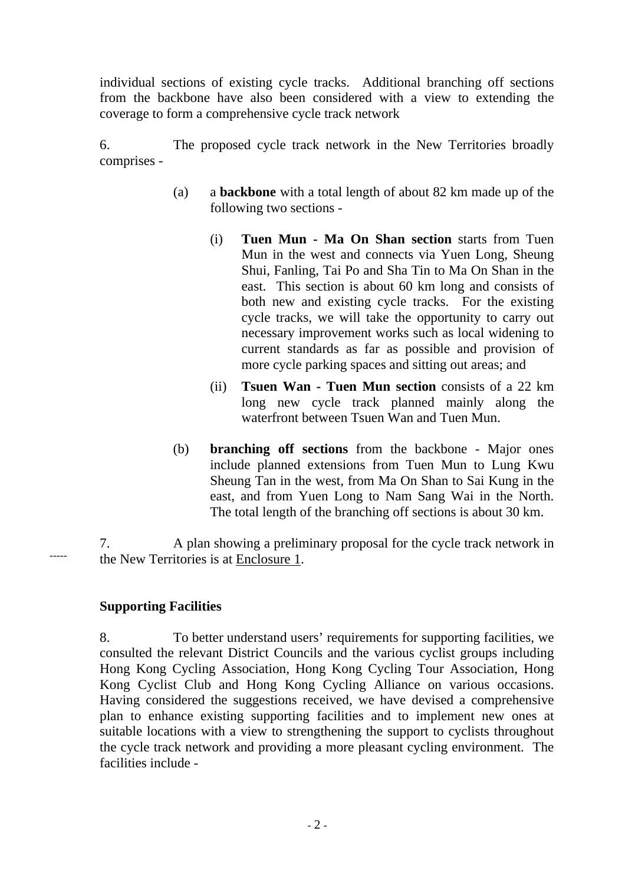individual sections of existing cycle tracks. Additional branching off sections from the backbone have also been considered with a view to extending the coverage to form a comprehensive cycle track network

6. The proposed cycle track network in the New Territories broadly comprises -

- (a) a **backbone** with a total length of about 82 km made up of the following two sections -
	- (i) **Tuen Mun Ma On Shan section** starts from Tuen Mun in the west and connects via Yuen Long, Sheung Shui, Fanling, Tai Po and Sha Tin to Ma On Shan in the east. This section is about 60 km long and consists of both new and existing cycle tracks. For the existing cycle tracks, we will take the opportunity to carry out necessary improvement works such as local widening to current standards as far as possible and provision of more cycle parking spaces and sitting out areas; and
	- (ii) **Tsuen Wan Tuen Mun section** consists of a 22 km long new cycle track planned mainly along the waterfront between Tsuen Wan and Tuen Mun.
- (b) **branching off sections** from the backbone Major ones include planned extensions from Tuen Mun to Lung Kwu Sheung Tan in the west, from Ma On Shan to Sai Kung in the east, and from Yuen Long to Nam Sang Wai in the North. The total length of the branching off sections is about 30 km.

7. A plan showing a preliminary proposal for the cycle track network in the New Territories is at Enclosure 1.

## **Supporting Facilities**

-----

8. To better understand users' requirements for supporting facilities, we consulted the relevant District Councils and the various cyclist groups including Hong Kong Cycling Association, Hong Kong Cycling Tour Association, Hong Kong Cyclist Club and Hong Kong Cycling Alliance on various occasions. Having considered the suggestions received, we have devised a comprehensive plan to enhance existing supporting facilities and to implement new ones at suitable locations with a view to strengthening the support to cyclists throughout the cycle track network and providing a more pleasant cycling environment. The facilities include -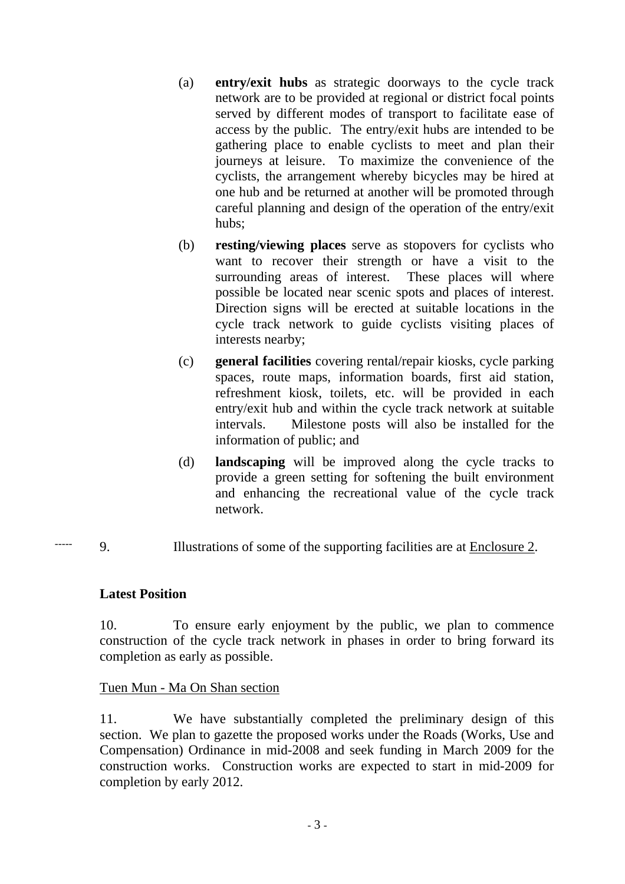- (a) **entry/exit hubs** as strategic doorways to the cycle track network are to be provided at regional or district focal points served by different modes of transport to facilitate ease of access by the public. The entry/exit hubs are intended to be gathering place to enable cyclists to meet and plan their journeys at leisure. To maximize the convenience of the cyclists, the arrangement whereby bicycles may be hired at one hub and be returned at another will be promoted through careful planning and design of the operation of the entry/exit hubs;
- (b) **resting/viewing places** serve as stopovers for cyclists who want to recover their strength or have a visit to the surrounding areas of interest. These places will where possible be located near scenic spots and places of interest. Direction signs will be erected at suitable locations in the cycle track network to guide cyclists visiting places of interests nearby;
- (c) **general facilities** covering rental/repair kiosks, cycle parking spaces, route maps, information boards, first aid station, refreshment kiosk, toilets, etc. will be provided in each entry/exit hub and within the cycle track network at suitable intervals. Milestone posts will also be installed for the information of public; and
- (d) **landscaping** will be improved along the cycle tracks to provide a green setting for softening the built environment and enhancing the recreational value of the cycle track network.
- 9. Illustrations of some of the supporting facilities are at Enclosure 2. -----

#### **Latest Position**

10. To ensure early enjoyment by the public, we plan to commence construction of the cycle track network in phases in order to bring forward its completion as early as possible.

#### Tuen Mun - Ma On Shan section

11. We have substantially completed the preliminary design of this section. We plan to gazette the proposed works under the Roads (Works, Use and Compensation) Ordinance in mid-2008 and seek funding in March 2009 for the construction works. Construction works are expected to start in mid-2009 for completion by early 2012.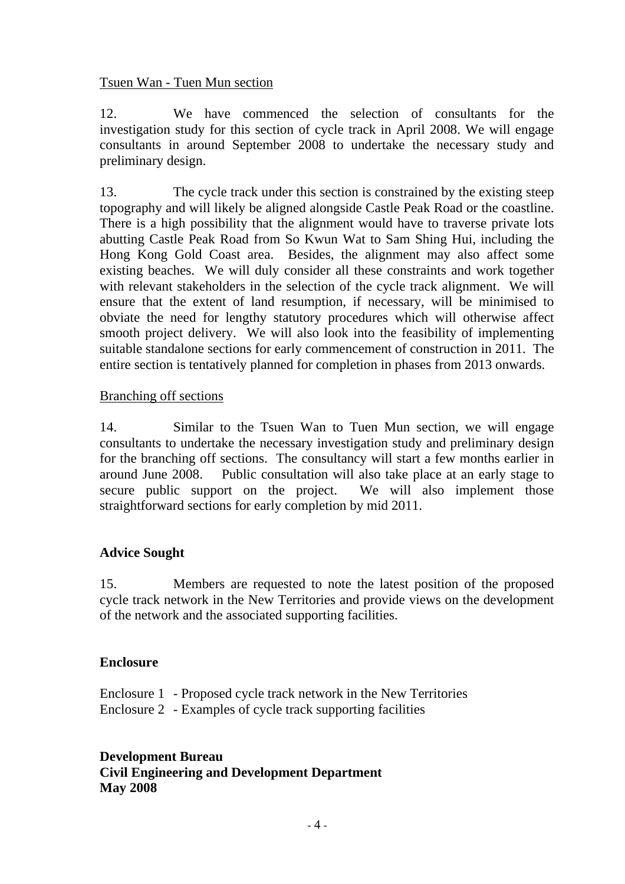#### Tsuen Wan - Tuen Mun section

12. We have commenced the selection of consultants for the investigation study for this section of cycle track in April 2008. We will engage consultants in around September 2008 to undertake the necessary study and preliminary design.

13. The cycle track under this section is constrained by the existing steep topography and will likely be aligned alongside Castle Peak Road or the coastline. There is a high possibility that the alignment would have to traverse private lots abutting Castle Peak Road from So Kwun Wat to Sam Shing Hui, including the Hong Kong Gold Coast area. Besides, the alignment may also affect some existing beaches. We will duly consider all these constraints and work together with relevant stakeholders in the selection of the cycle track alignment. We will ensure that the extent of land resumption, if necessary, will be minimised to obviate the need for lengthy statutory procedures which will otherwise affect smooth project delivery. We will also look into the feasibility of implementing suitable standalone sections for early commencement of construction in 2011. The entire section is tentatively planned for completion in phases from 2013 onwards.

#### Branching off sections

14. Similar to the Tsuen Wan to Tuen Mun section, we will engage consultants to undertake the necessary investigation study and preliminary design for the branching off sections. The consultancy will start a few months earlier in around June 2008. Public consultation will also take place at an early stage to secure public support on the project. We will also implement those straightforward sections for early completion by mid 2011.

#### **Advice Sought**

15. Members are requested to note the latest position of the proposed cycle track network in the New Territories and provide views on the development of the network and the associated supporting facilities.

#### **Enclosure**

Enclosure 1 - Proposed cycle track network in the New Territories Enclosure 2 - Examples of cycle track supporting facilities

## **Development Bureau Civil Engineering and Development Department May 2008**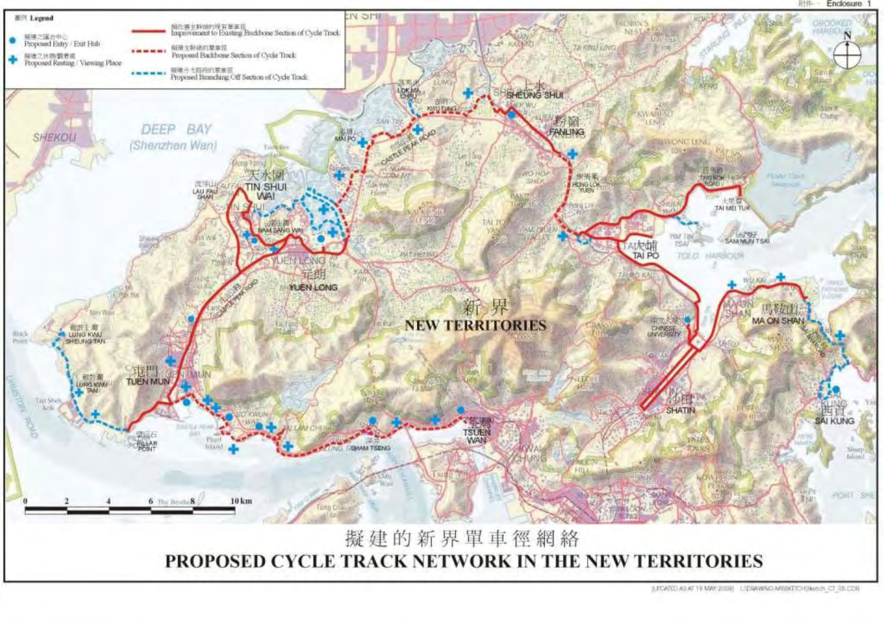



(LEOATED AS AT 19 MAY 2018) LIDRAWAIO-MISSICIO (Sketch CT (LECOR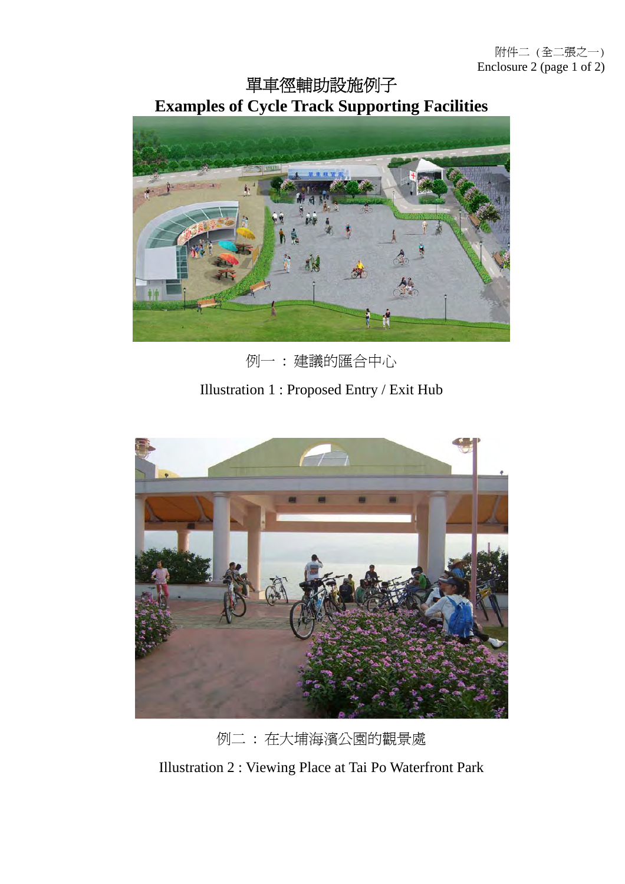附件二 (全二張之一) Enclosure 2 (page 1 of 2)

單車徑輔助設施例子 **Examples of Cycle Track Supporting Facilities**



例一 : 建議的匯合中心

Illustration 1 : Proposed Entry / Exit Hub



例二 : 在大埔海濱公園的觀景處

Illustration 2 : Viewing Place at Tai Po Waterfront Park